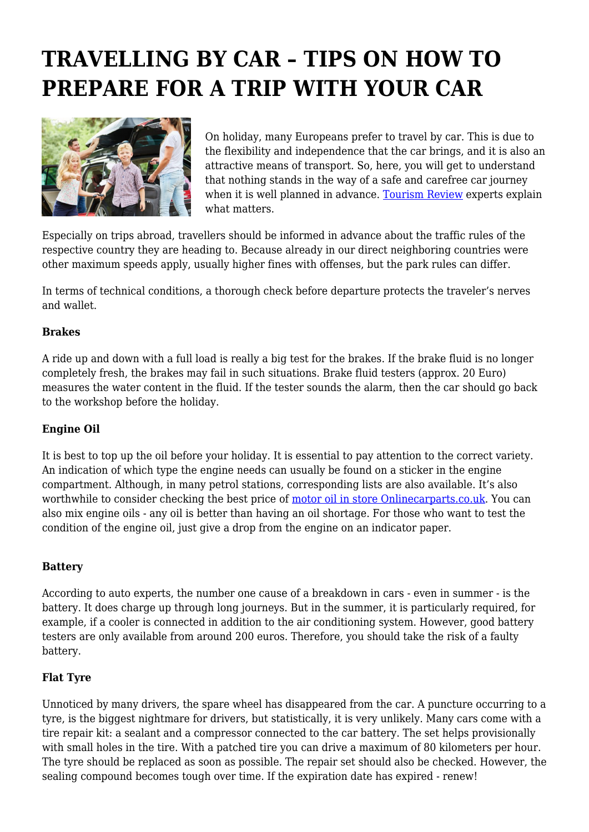# **TRAVELLING BY CAR – TIPS ON HOW TO PREPARE FOR A TRIP WITH YOUR CAR**



On holiday, many Europeans prefer to travel by car. This is due to the flexibility and independence that the car brings, and it is also an attractive means of transport. So, here, you will get to understand that nothing stands in the way of a safe and carefree car journey when it is well planned in advance. [Tourism Review](https://www.tourism-review.com/) experts explain what matters.

Especially on trips abroad, travellers should be informed in advance about the traffic rules of the respective country they are heading to. Because already in our direct neighboring countries were other maximum speeds apply, usually higher fines with offenses, but the park rules can differ.

In terms of technical conditions, a thorough check before departure protects the traveler's nerves and wallet.

## **Brakes**

A ride up and down with a full load is really a big test for the brakes. If the brake fluid is no longer completely fresh, the brakes may fail in such situations. Brake fluid testers (approx. 20 Euro) measures the water content in the fluid. If the tester sounds the alarm, then the car should go back to the workshop before the holiday.

#### **Engine Oil**

It is best to top up the oil before your holiday. It is essential to pay attention to the correct variety. An indication of which type the engine needs can usually be found on a sticker in the engine compartment. Although, in many petrol stations, corresponding lists are also available. It's also worthwhile to consider checking the best price of [motor oil in store Onlinecarparts.co.uk.](https://www.onlinecarparts.co.uk/spare-parts/engine-oil.html) You can also mix engine oils - any oil is better than having an oil shortage. For those who want to test the condition of the engine oil, just give a drop from the engine on an indicator paper.

# **Battery**

According to auto experts, the number one cause of a breakdown in cars - even in summer - is the battery. It does charge up through long journeys. But in the summer, it is particularly required, for example, if a cooler is connected in addition to the air conditioning system. However, good battery testers are only available from around 200 euros. Therefore, you should take the risk of a faulty battery.

#### **Flat Tyre**

Unnoticed by many drivers, the spare wheel has disappeared from the car. A puncture occurring to a tyre, is the biggest nightmare for drivers, but statistically, it is very unlikely. Many cars come with a tire repair kit: a sealant and a compressor connected to the car battery. The set helps provisionally with small holes in the tire. With a patched tire you can drive a maximum of 80 kilometers per hour. The tyre should be replaced as soon as possible. The repair set should also be checked. However, the sealing compound becomes tough over time. If the expiration date has expired - renew!